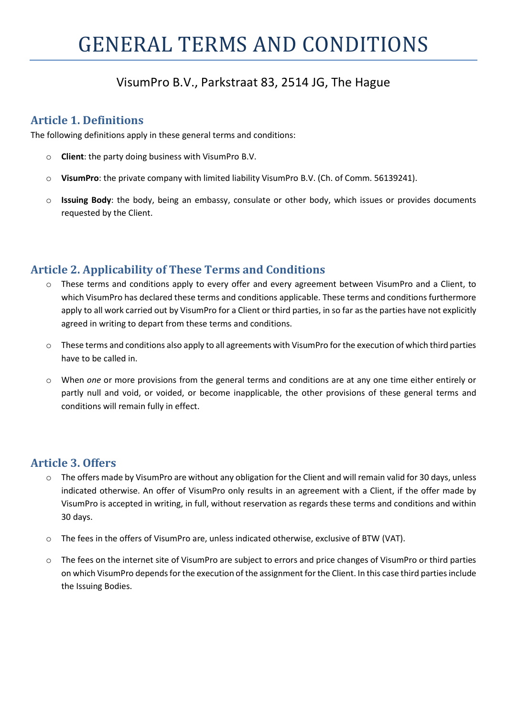# VisumPro B.V., Parkstraat 83, 2514 JG, The Hague

#### Article 1. Definitions

The following definitions apply in these general terms and conditions:

- o Client: the party doing business with VisumPro B.V.
- o VisumPro: the private company with limited liability VisumPro B.V. (Ch. of Comm. 56139241).
- $\circ$  Issuing Body: the body, being an embassy, consulate or other body, which issues or provides documents requested by the Client.

## Article 2. Applicability of These Terms and Conditions

- These terms and conditions apply to every offer and every agreement between VisumPro and a Client, to which VisumPro has declared these terms and conditions applicable. These terms and conditions furthermore apply to all work carried out by VisumPro for a Client or third parties, in so far as the parties have not explicitly agreed in writing to depart from these terms and conditions.
- $\circ$  These terms and conditions also apply to all agreements with VisumPro for the execution of which third parties have to be called in.
- o When one or more provisions from the general terms and conditions are at any one time either entirely or partly null and void, or voided, or become inapplicable, the other provisions of these general terms and conditions will remain fully in effect.

#### Article 3. Offers

- $\circ$  The offers made by VisumPro are without any obligation for the Client and will remain valid for 30 days, unless indicated otherwise. An offer of VisumPro only results in an agreement with a Client, if the offer made by VisumPro is accepted in writing, in full, without reservation as regards these terms and conditions and within 30 days.
- o The fees in the offers of VisumPro are, unless indicated otherwise, exclusive of BTW (VAT).
- o The fees on the internet site of VisumPro are subject to errors and price changes of VisumPro or third parties on which VisumPro depends for the execution of the assignment for the Client. In this case third parties include the Issuing Bodies.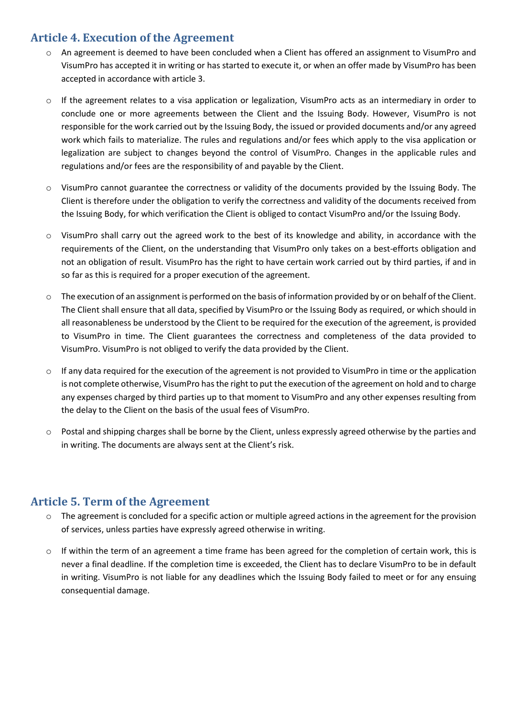## Article 4. Execution of the Agreement

- o An agreement is deemed to have been concluded when a Client has offered an assignment to VisumPro and VisumPro has accepted it in writing or has started to execute it, or when an offer made by VisumPro has been accepted in accordance with article 3.
- $\circ$  If the agreement relates to a visa application or legalization, VisumPro acts as an intermediary in order to conclude one or more agreements between the Client and the Issuing Body. However, VisumPro is not responsible for the work carried out by the Issuing Body, the issued or provided documents and/or any agreed work which fails to materialize. The rules and regulations and/or fees which apply to the visa application or legalization are subject to changes beyond the control of VisumPro. Changes in the applicable rules and regulations and/or fees are the responsibility of and payable by the Client.
- $\circ$  VisumPro cannot guarantee the correctness or validity of the documents provided by the Issuing Body. The Client is therefore under the obligation to verify the correctness and validity of the documents received from the Issuing Body, for which verification the Client is obliged to contact VisumPro and/or the Issuing Body.
- o VisumPro shall carry out the agreed work to the best of its knowledge and ability, in accordance with the requirements of the Client, on the understanding that VisumPro only takes on a best-efforts obligation and not an obligation of result. VisumPro has the right to have certain work carried out by third parties, if and in so far as this is required for a proper execution of the agreement.
- o The execution of an assignment is performed on the basis of information provided by or on behalf of the Client. The Client shall ensure that all data, specified by VisumPro or the Issuing Body as required, or which should in all reasonableness be understood by the Client to be required for the execution of the agreement, is provided to VisumPro in time. The Client guarantees the correctness and completeness of the data provided to VisumPro. VisumPro is not obliged to verify the data provided by the Client.
- $\circ$  If any data required for the execution of the agreement is not provided to VisumPro in time or the application is not complete otherwise, VisumPro has the right to put the execution of the agreement on hold and to charge any expenses charged by third parties up to that moment to VisumPro and any other expenses resulting from the delay to the Client on the basis of the usual fees of VisumPro.
- o Postal and shipping charges shall be borne by the Client, unless expressly agreed otherwise by the parties and in writing. The documents are always sent at the Client's risk.

#### Article 5. Term of the Agreement

- o The agreement is concluded for a specific action or multiple agreed actions in the agreement for the provision of services, unless parties have expressly agreed otherwise in writing.
- $\circ$  If within the term of an agreement a time frame has been agreed for the completion of certain work, this is never a final deadline. If the completion time is exceeded, the Client has to declare VisumPro to be in default in writing. VisumPro is not liable for any deadlines which the Issuing Body failed to meet or for any ensuing consequential damage.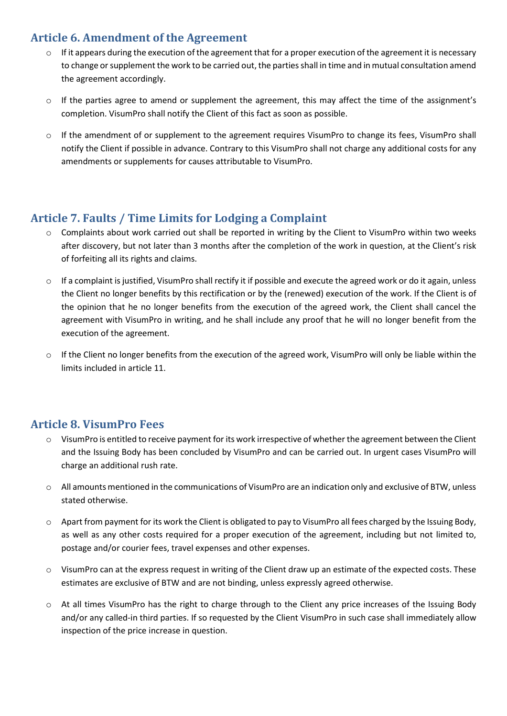## Article 6. Amendment of the Agreement

- o If it appears during the execution of the agreement that for a proper execution of the agreement it is necessary to change or supplement the work to be carried out, the parties shall in time and in mutual consultation amend the agreement accordingly.
- $\circ$  If the parties agree to amend or supplement the agreement, this may affect the time of the assignment's completion. VisumPro shall notify the Client of this fact as soon as possible.
- o If the amendment of or supplement to the agreement requires VisumPro to change its fees, VisumPro shall notify the Client if possible in advance. Contrary to this VisumPro shall not charge any additional costs for any amendments or supplements for causes attributable to VisumPro.

## Article 7. Faults / Time Limits for Lodging a Complaint

- o Complaints about work carried out shall be reported in writing by the Client to VisumPro within two weeks after discovery, but not later than 3 months after the completion of the work in question, at the Client's risk of forfeiting all its rights and claims.
- $\circ$  If a complaint is justified, VisumPro shall rectify it if possible and execute the agreed work or do it again, unless the Client no longer benefits by this rectification or by the (renewed) execution of the work. If the Client is of the opinion that he no longer benefits from the execution of the agreed work, the Client shall cancel the agreement with VisumPro in writing, and he shall include any proof that he will no longer benefit from the execution of the agreement.
- $\circ$  If the Client no longer benefits from the execution of the agreed work, VisumPro will only be liable within the limits included in article 11.

#### Article 8. VisumPro Fees

- o VisumPro is entitled to receive payment for its work irrespective of whether the agreement between the Client and the Issuing Body has been concluded by VisumPro and can be carried out. In urgent cases VisumPro will charge an additional rush rate.
- o All amounts mentioned in the communications of VisumPro are an indication only and exclusive of BTW, unless stated otherwise.
- o Apart from payment for its work the Client is obligated to pay to VisumPro all fees charged by the Issuing Body, as well as any other costs required for a proper execution of the agreement, including but not limited to, postage and/or courier fees, travel expenses and other expenses.
- $\circ$  VisumPro can at the express request in writing of the Client draw up an estimate of the expected costs. These estimates are exclusive of BTW and are not binding, unless expressly agreed otherwise.
- o At all times VisumPro has the right to charge through to the Client any price increases of the Issuing Body and/or any called-in third parties. If so requested by the Client VisumPro in such case shall immediately allow inspection of the price increase in question.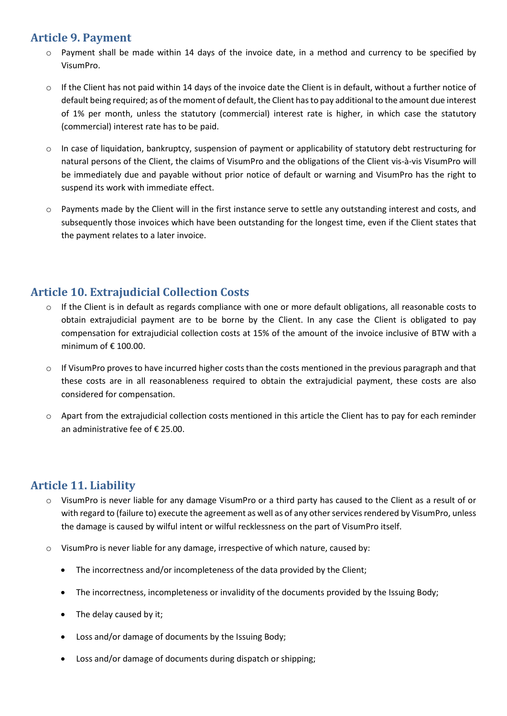## Article 9. Payment

- $\circ$  Payment shall be made within 14 days of the invoice date, in a method and currency to be specified by VisumPro.
- o If the Client has not paid within 14 days of the invoice date the Client is in default, without a further notice of default being required; as of the moment of default, the Client has to pay additional to the amount due interest of 1% per month, unless the statutory (commercial) interest rate is higher, in which case the statutory (commercial) interest rate has to be paid.
- o In case of liquidation, bankruptcy, suspension of payment or applicability of statutory debt restructuring for natural persons of the Client, the claims of VisumPro and the obligations of the Client vis-à-vis VisumPro will be immediately due and payable without prior notice of default or warning and VisumPro has the right to suspend its work with immediate effect.
- o Payments made by the Client will in the first instance serve to settle any outstanding interest and costs, and subsequently those invoices which have been outstanding for the longest time, even if the Client states that the payment relates to a later invoice.

## Article 10. Extrajudicial Collection Costs

- o If the Client is in default as regards compliance with one or more default obligations, all reasonable costs to obtain extrajudicial payment are to be borne by the Client. In any case the Client is obligated to pay compensation for extrajudicial collection costs at 15% of the amount of the invoice inclusive of BTW with a minimum of  $\epsilon$  100.00.
- $\circ$  If VisumPro proves to have incurred higher costs than the costs mentioned in the previous paragraph and that these costs are in all reasonableness required to obtain the extrajudicial payment, these costs are also considered for compensation.
- o Apart from the extrajudicial collection costs mentioned in this article the Client has to pay for each reminder an administrative fee of € 25.00.

#### Article 11. Liability

- o VisumPro is never liable for any damage VisumPro or a third party has caused to the Client as a result of or with regard to (failure to) execute the agreement as well as of any other services rendered by VisumPro, unless the damage is caused by wilful intent or wilful recklessness on the part of VisumPro itself.
- $\circ$  VisumPro is never liable for any damage, irrespective of which nature, caused by:
	- The incorrectness and/or incompleteness of the data provided by the Client;
	- The incorrectness, incompleteness or invalidity of the documents provided by the Issuing Body;
	- The delay caused by it;
	- Loss and/or damage of documents by the Issuing Body;
	- Loss and/or damage of documents during dispatch or shipping;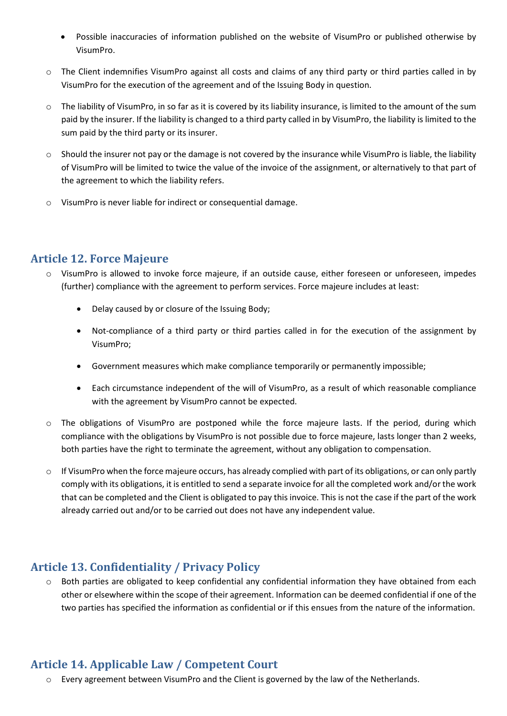- Possible inaccuracies of information published on the website of VisumPro or published otherwise by VisumPro.
- $\circ$  The Client indemnifies VisumPro against all costs and claims of any third party or third parties called in by VisumPro for the execution of the agreement and of the Issuing Body in question.
- o The liability of VisumPro, in so far as it is covered by its liability insurance, is limited to the amount of the sum paid by the insurer. If the liability is changed to a third party called in by VisumPro, the liability is limited to the sum paid by the third party or its insurer.
- $\circ$  Should the insurer not pay or the damage is not covered by the insurance while VisumPro is liable, the liability of VisumPro will be limited to twice the value of the invoice of the assignment, or alternatively to that part of the agreement to which the liability refers.
- o VisumPro is never liable for indirect or consequential damage.

## Article 12. Force Majeure

- o VisumPro is allowed to invoke force majeure, if an outside cause, either foreseen or unforeseen, impedes (further) compliance with the agreement to perform services. Force majeure includes at least:
	- Delay caused by or closure of the Issuing Body;
	- Not-compliance of a third party or third parties called in for the execution of the assignment by VisumPro;
	- Government measures which make compliance temporarily or permanently impossible;
	- Each circumstance independent of the will of VisumPro, as a result of which reasonable compliance with the agreement by VisumPro cannot be expected.
- o The obligations of VisumPro are postponed while the force majeure lasts. If the period, during which compliance with the obligations by VisumPro is not possible due to force majeure, lasts longer than 2 weeks, both parties have the right to terminate the agreement, without any obligation to compensation.
- $\circ$  If VisumPro when the force majeure occurs, has already complied with part of its obligations, or can only partly comply with its obligations, it is entitled to send a separate invoice for all the completed work and/or the work that can be completed and the Client is obligated to pay this invoice. This is not the case if the part of the work already carried out and/or to be carried out does not have any independent value.

#### Article 13. Confidentiality / Privacy Policy

 $\circ$  Both parties are obligated to keep confidential any confidential information they have obtained from each other or elsewhere within the scope of their agreement. Information can be deemed confidential if one of the two parties has specified the information as confidential or if this ensues from the nature of the information.

## Article 14. Applicable Law / Competent Court

o Every agreement between VisumPro and the Client is governed by the law of the Netherlands.